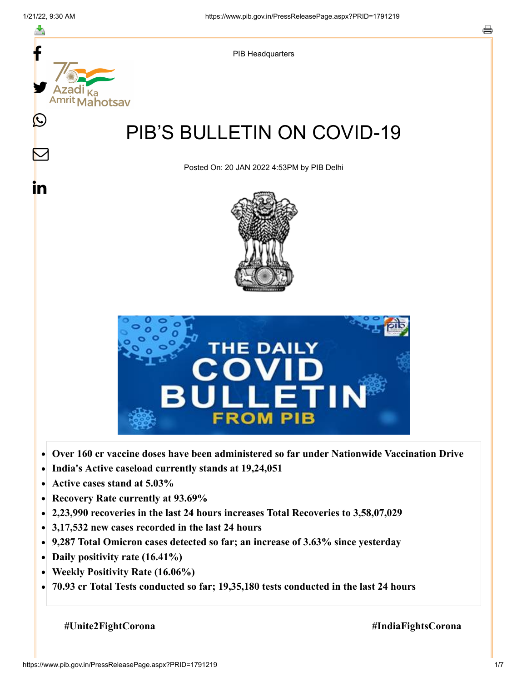

- **Active cases stand at 5.03%**  $\bullet$
- **Recovery Rate currently at 93.69%**  $\bullet$
- **2,23,990 recoveries in the last 24 hours increases Total Recoveries to 3,58,07,029**  $\bullet$
- **3,17,532 new cases recorded in the last 24 hours**
- **9,287 Total Omicron cases detected so far; an increase of 3.63% since yesterday**
- **Daily positivity rate (16.41%)**
- **Weekly Positivity Rate (16.06%)**  $\bullet$
- $\bullet$ **70.93 cr Total Tests conducted so far; 19,35,180 tests conducted in the last 24 hours**

 **#Unite2FightCorona #IndiaFightsCorona**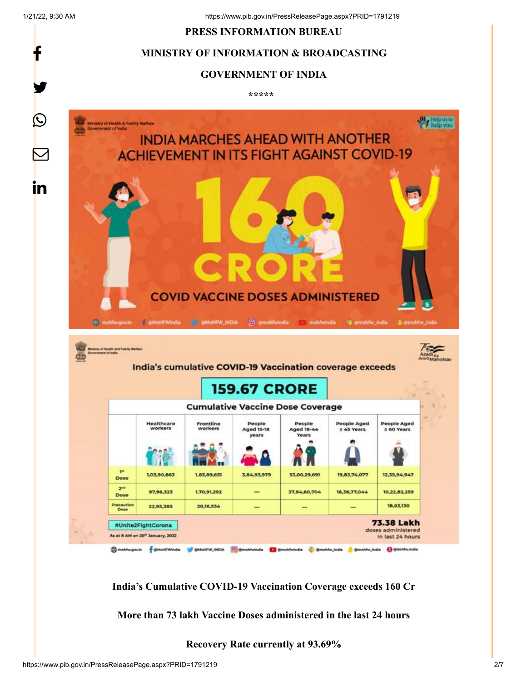f

y.

#### **PRESS INFORMATION BUREAU**

## **MINISTRY OF INFORMATION & BROADCASTING**

#### **GOVERNMENT OF INDIA**

**\*\*\*\*\*** 



**India's Cumulative COVID-19 Vaccination Coverage exceeds 160 Cr**

**More than 73 lakh Vaccine Doses administered in the last 24 hours**

**Recovery Rate currently at 93.69%**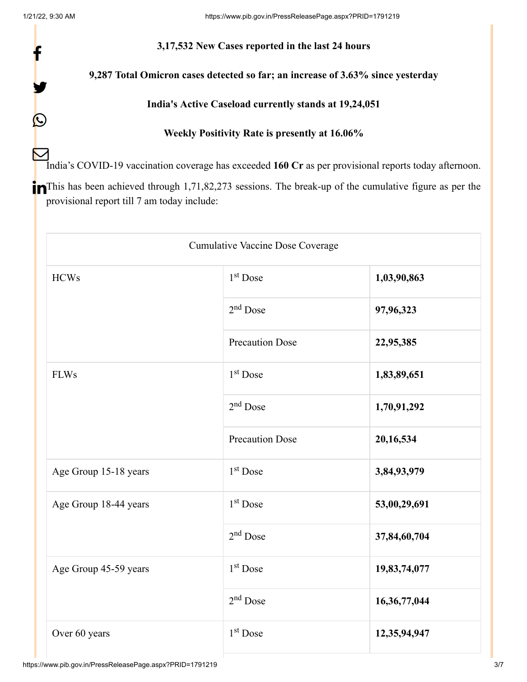f

y.

 $\bigcirc$ 

## **3,17,532 New Cases reported in the last 24 hours**

# **9,287 Total Omicron cases detected so far; an increase of 3.63% since yesterday**

## **India's Active Caseload currently stands at 19,24,051**

## **Weekly Positivity Rate is presently at 16.06%**

India's COVID-19 vaccination coverage has exceeded **160 Cr** as per provisional reports today afternoon.  $\mathbf{\nabla}% _{H}=\mathbf{\nabla}_{H}\mathbf{N}^{H}=\mathbf{\nabla}_{H}\mathbf{N}^{H}$ 

**This has been achieved through 1,71,82,273 sessions.** The break-up of the cumulative figure as per the provisional report till 7 am today include:

| <b>Cumulative Vaccine Dose Coverage</b> |                        |              |  |  |
|-----------------------------------------|------------------------|--------------|--|--|
| <b>HCWs</b>                             | $1st$ Dose             | 1,03,90,863  |  |  |
|                                         | $2nd$ Dose             | 97,96,323    |  |  |
|                                         | <b>Precaution Dose</b> | 22,95,385    |  |  |
| <b>FLWs</b>                             | $1st$ Dose             | 1,83,89,651  |  |  |
|                                         | $2nd$ Dose             | 1,70,91,292  |  |  |
|                                         | <b>Precaution Dose</b> | 20,16,534    |  |  |
| Age Group 15-18 years                   | $1st$ Dose             | 3,84,93,979  |  |  |
| Age Group 18-44 years                   | 1 <sup>st</sup> Dose   | 53,00,29,691 |  |  |
|                                         | $2nd$ Dose             | 37,84,60,704 |  |  |
| Age Group 45-59 years                   | $1st$ Dose             | 19,83,74,077 |  |  |
|                                         | $2nd$ Dose             | 16,36,77,044 |  |  |
| Over 60 years                           | $1st$ Dose             | 12,35,94,947 |  |  |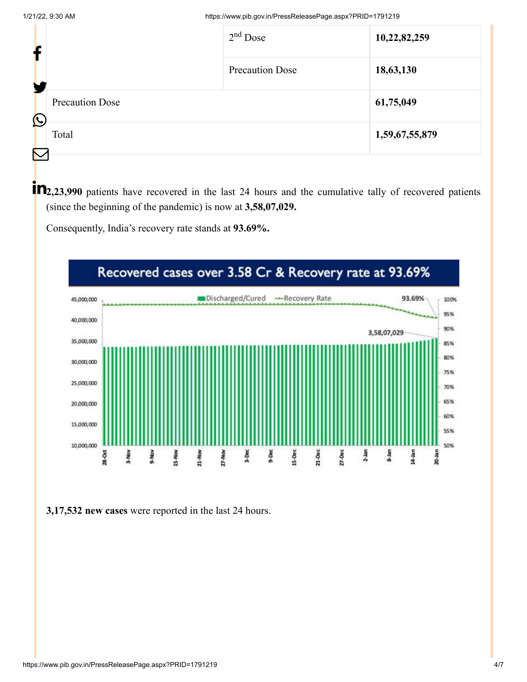| ł                        |                        | $2nd$ Dose             | 10,22,82,259   |
|--------------------------|------------------------|------------------------|----------------|
|                          |                        | <b>Precaution Dose</b> | 18,63,130      |
| $\bigcirc$               | <b>Precaution Dose</b> |                        | 61,75,049      |
| $\overline{\phantom{1}}$ | Total                  |                        | 1,59,67,55,879 |
|                          |                        |                        |                |

**1 12**, 23,990 patients have recovered in the last 24 hours and the cumulative tally of recovered patients (since the beginning of the pandemic) is now at **3,58,07,029.**

Consequently, India's recovery rate stands at **93.69%.**



**3,17,532 new cases** were reported in the last 24 hours.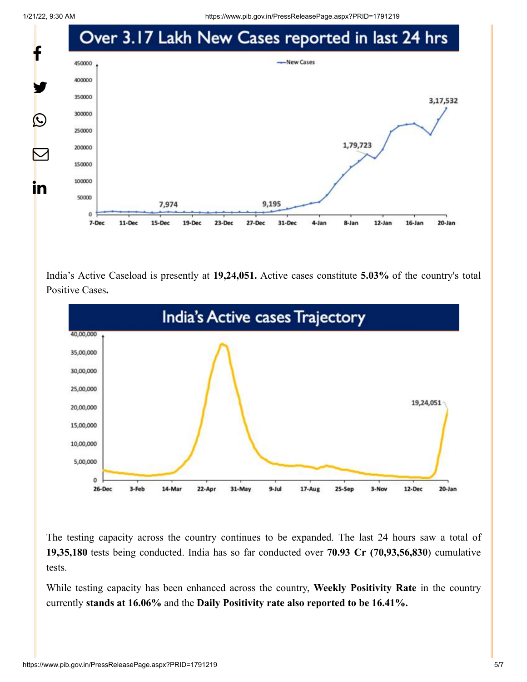1/21/22, 9:30 AM https://www.pib.gov.in/PressReleasePage.aspx?PRID=1791219



India's Active Caseload is presently at **19,24,051.** Active cases constitute **5.03%** of the country's total Positive Cases**.**



The testing capacity across the country continues to be expanded. The last 24 hours saw a total of **19,35,180** tests being conducted. India has so far conducted over **70.93 Cr (70,93,56,830**) cumulative tests.

While testing capacity has been enhanced across the country, **Weekly Positivity Rate** in the country currently **stands at 16.06%** and the **Daily Positivity rate also reported to be 16.41%.**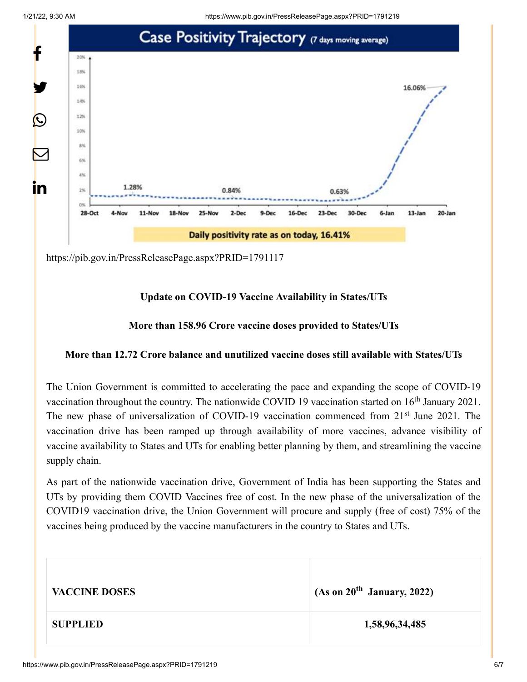

<https://pib.gov.in/PressReleasePage.aspx?PRID=1791117>

## **Update on COVID-19 Vaccine Availability in States/UTs**

#### **More than 158.96 Crore vaccine doses provided to States/UTs**

#### **More than 12.72 Crore balance and unutilized vaccine doses still available with States/UTs**

The Union Government is committed to accelerating the pace and expanding the scope of COVID-19 vaccination throughout the country. The nationwide COVID 19 vaccination started on  $16<sup>th</sup>$  January 2021. The new phase of universalization of COVID-19 vaccination commenced from 21<sup>st</sup> June 2021. The vaccination drive has been ramped up through availability of more vaccines, advance visibility of vaccine availability to States and UTs for enabling better planning by them, and streamlining the vaccine supply chain.

As part of the nationwide vaccination drive, Government of India has been supporting the States and UTs by providing them COVID Vaccines free of cost. In the new phase of the universalization of the COVID19 vaccination drive, the Union Government will procure and supply (free of cost) 75% of the vaccines being produced by the vaccine manufacturers in the country to States and UTs.

| <b>VACCINE DOSES</b> | (As on $20^{th}$ January, 2022) |
|----------------------|---------------------------------|
| <b>SUPPLIED</b>      | 1,58,96,34,485                  |